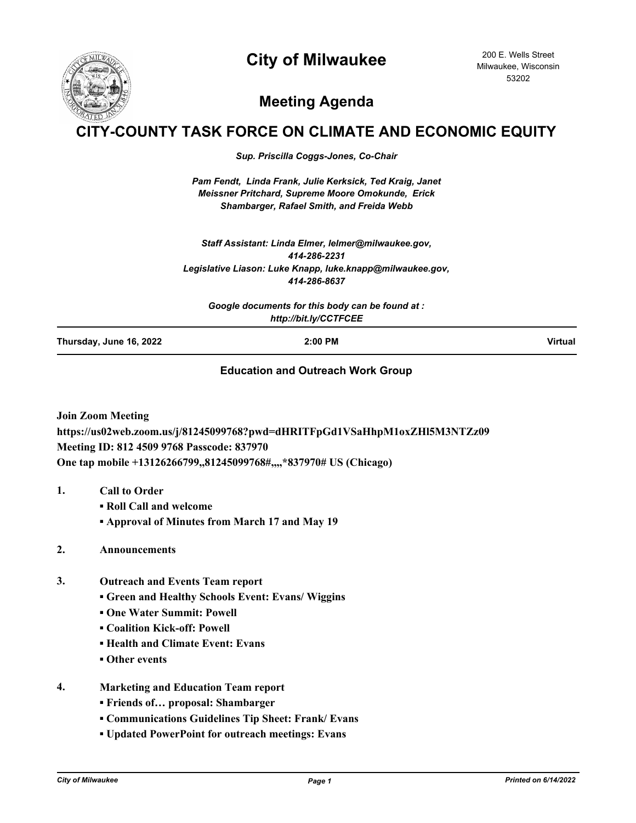## **City of Milwaukee**



200 E. Wells Street Milwaukee, Wisconsin 53202

# **Meeting Agenda**

## **CITY-COUNTY TASK FORCE ON CLIMATE AND ECONOMIC EQUITY**

*Sup. Priscilla Coggs-Jones, Co-Chair*

*Pam Fendt, Linda Frank, Julie Kerksick, Ted Kraig, Janet Meissner Pritchard, Supreme Moore Omokunde, Erick Shambarger, Rafael Smith, and Freida Webb*

*Staff Assistant: Linda Elmer, lelmer@milwaukee.gov, 414-286-2231 Legislative Liason: Luke Knapp, luke.knapp@milwaukee.gov, 414-286-8637*

*Google documents for this body can be found at : http://bit.ly/CCTFCEE*

**Thursday, June 16, 2022 2:00 PM Virtual**

#### **Education and Outreach Work Group**

**Join Zoom Meeting https://us02web.zoom.us/j/81245099768?pwd=dHRITFpGd1VSaHhpM1oxZHl5M3NTZz09 Meeting ID: 812 4509 9768 Passcode: 837970 One tap mobile +13126266799,,81245099768#,,,,\*837970# US (Chicago)**

- **1. Call to Order**
	- **Roll Call and welcome**
	- **Approval of Minutes from March 17 and May 19**
- **2. Announcements**
- **3. Outreach and Events Team report**
	- **Green and Healthy Schools Event: Evans/ Wiggins**
	- **One Water Summit: Powell**
	- **Coalition Kick-off: Powell**
	- **Health and Climate Event: Evans**
	- **Other events**
- **4. Marketing and Education Team report**
	- **Friends of… proposal: Shambarger**
	- **Communications Guidelines Tip Sheet: Frank/ Evans**
	- **Updated PowerPoint for outreach meetings: Evans**